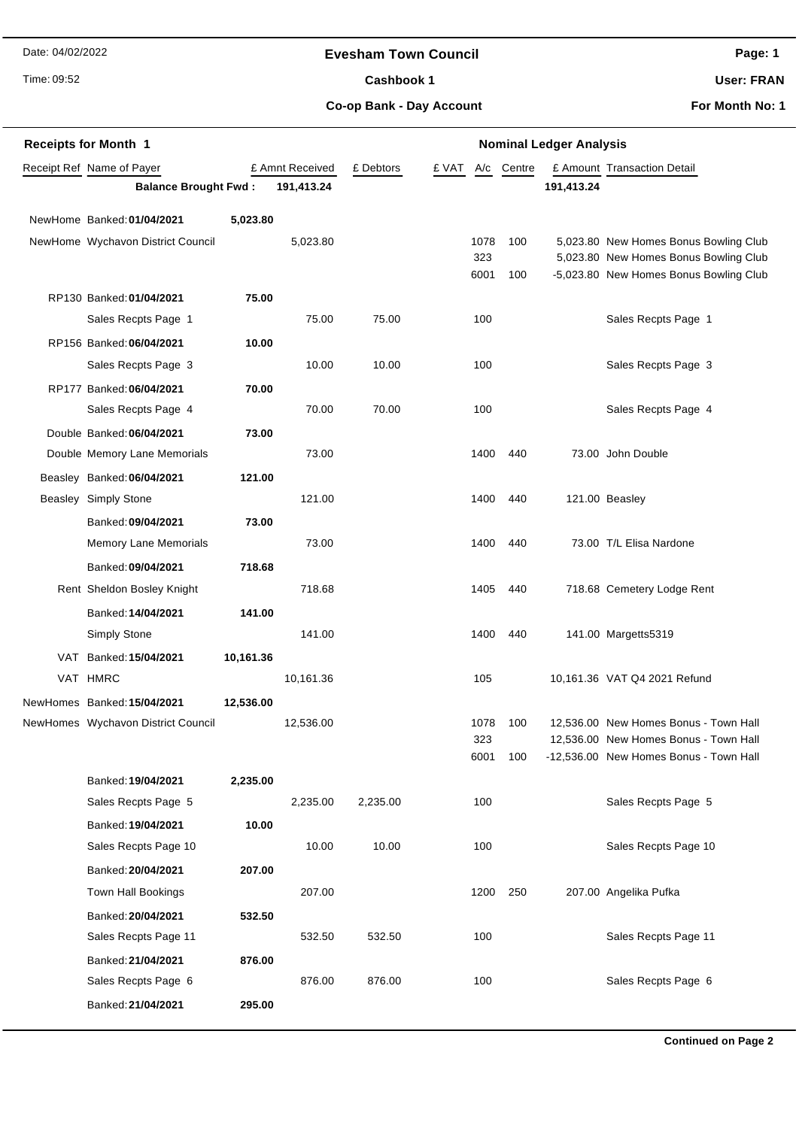Date: 04/02/2022

Time: 09:52

## **Evesham Town Council**

Cashbook 1

**Page: 1**

**User: FRAN**

**Co-op Bank - Day Account**

**For Month No: 1**

| <b>Receipts for Month 1</b> |                                            |           |                 | <b>Nominal Ledger Analysis</b> |       |             |        |            |                                                                                 |  |
|-----------------------------|--------------------------------------------|-----------|-----------------|--------------------------------|-------|-------------|--------|------------|---------------------------------------------------------------------------------|--|
|                             | Receipt Ref Name of Payer                  |           | £ Amnt Received | £ Debtors                      | £ VAT | A/c         | Centre |            | £ Amount Transaction Detail                                                     |  |
|                             | <b>Balance Brought Fwd:</b>                |           | 191,413.24      |                                |       |             |        | 191,413.24 |                                                                                 |  |
|                             | NewHome Banked: 01/04/2021                 | 5,023.80  |                 |                                |       |             |        |            |                                                                                 |  |
|                             | NewHome Wychavon District Council          |           | 5,023.80        |                                |       | 1078        | 100    |            | 5,023.80 New Homes Bonus Bowling Club                                           |  |
|                             |                                            |           |                 |                                |       | 323         |        |            | 5,023.80 New Homes Bonus Bowling Club                                           |  |
|                             |                                            |           |                 |                                |       | 6001        | 100    |            | -5,023.80 New Homes Bonus Bowling Club                                          |  |
|                             | RP130 Banked: 01/04/2021                   | 75.00     |                 |                                |       |             |        |            |                                                                                 |  |
|                             | Sales Recpts Page 1                        |           | 75.00           | 75.00                          |       | 100         |        |            | Sales Recpts Page 1                                                             |  |
|                             | RP156 Banked: 06/04/2021                   | 10.00     |                 |                                |       |             |        |            |                                                                                 |  |
|                             | Sales Recpts Page 3                        |           | 10.00           | 10.00                          |       | 100         |        |            | Sales Recpts Page 3                                                             |  |
|                             | RP177 Banked: 06/04/2021                   | 70.00     |                 |                                |       |             |        |            |                                                                                 |  |
|                             | Sales Recpts Page 4                        |           | 70.00           | 70.00                          |       | 100         |        |            | Sales Recpts Page 4                                                             |  |
|                             | Double Banked: 06/04/2021                  | 73.00     |                 |                                |       |             |        |            |                                                                                 |  |
|                             | Double Memory Lane Memorials               |           | 73.00           |                                |       | 1400        | 440    |            | 73.00 John Double                                                               |  |
|                             | Beasley Banked: 06/04/2021                 | 121.00    |                 |                                |       |             |        |            |                                                                                 |  |
|                             | Beasley Simply Stone                       |           | 121.00          |                                |       | 1400        | 440    |            | 121.00 Beasley                                                                  |  |
|                             | Banked: 09/04/2021                         | 73.00     |                 |                                |       |             |        |            |                                                                                 |  |
|                             | <b>Memory Lane Memorials</b>               |           | 73.00           |                                |       | 1400        | 440    |            | 73.00 T/L Elisa Nardone                                                         |  |
|                             | Banked: 09/04/2021                         | 718.68    |                 |                                |       |             |        |            |                                                                                 |  |
|                             | Rent Sheldon Bosley Knight                 |           | 718.68          |                                |       | 1405        | 440    |            | 718.68 Cemetery Lodge Rent                                                      |  |
|                             | Banked: 14/04/2021                         | 141.00    |                 |                                |       |             |        |            |                                                                                 |  |
|                             | Simply Stone                               |           | 141.00          |                                |       | 1400        | 440    |            | 141.00 Margetts5319                                                             |  |
|                             | VAT Banked: 15/04/2021                     | 10,161.36 |                 |                                |       |             |        |            |                                                                                 |  |
|                             | VAT HMRC                                   |           | 10,161.36       |                                |       | 105         |        |            | 10,161.36 VAT Q4 2021 Refund                                                    |  |
|                             | NewHomes Banked: 15/04/2021                | 12,536.00 |                 |                                |       |             |        |            |                                                                                 |  |
|                             | NewHomes Wychavon District Council         |           | 12,536.00       |                                |       | 1078        | 100    |            | 12.536.00 New Homes Bonus - Town Hall                                           |  |
|                             |                                            |           |                 |                                |       | 323<br>6001 | 100    |            | 12,536.00 New Homes Bonus - Town Hall<br>-12,536.00 New Homes Bonus - Town Hall |  |
|                             | Banked: 19/04/2021                         | 2,235.00  |                 |                                |       |             |        |            |                                                                                 |  |
|                             | Sales Recpts Page 5                        |           | 2,235.00        | 2,235.00                       |       | 100         |        |            | Sales Recpts Page 5                                                             |  |
|                             | Banked: 19/04/2021                         | 10.00     |                 |                                |       |             |        |            |                                                                                 |  |
|                             | Sales Recpts Page 10                       |           | 10.00           | 10.00                          |       | 100         |        |            | Sales Recpts Page 10                                                            |  |
|                             | Banked: 20/04/2021                         | 207.00    |                 |                                |       |             |        |            |                                                                                 |  |
|                             | Town Hall Bookings                         |           | 207.00          |                                |       | 1200        | 250    |            | 207.00 Angelika Pufka                                                           |  |
|                             |                                            |           |                 |                                |       |             |        |            |                                                                                 |  |
|                             | Banked: 20/04/2021<br>Sales Recpts Page 11 | 532.50    | 532.50          | 532.50                         |       | 100         |        |            | Sales Recpts Page 11                                                            |  |
|                             |                                            |           |                 |                                |       |             |        |            |                                                                                 |  |
|                             | Banked: 21/04/2021<br>Sales Recpts Page 6  | 876.00    | 876.00          | 876.00                         |       | 100         |        |            | Sales Recpts Page 6                                                             |  |
|                             |                                            |           |                 |                                |       |             |        |            |                                                                                 |  |
|                             | Banked: 21/04/2021                         | 295.00    |                 |                                |       |             |        |            |                                                                                 |  |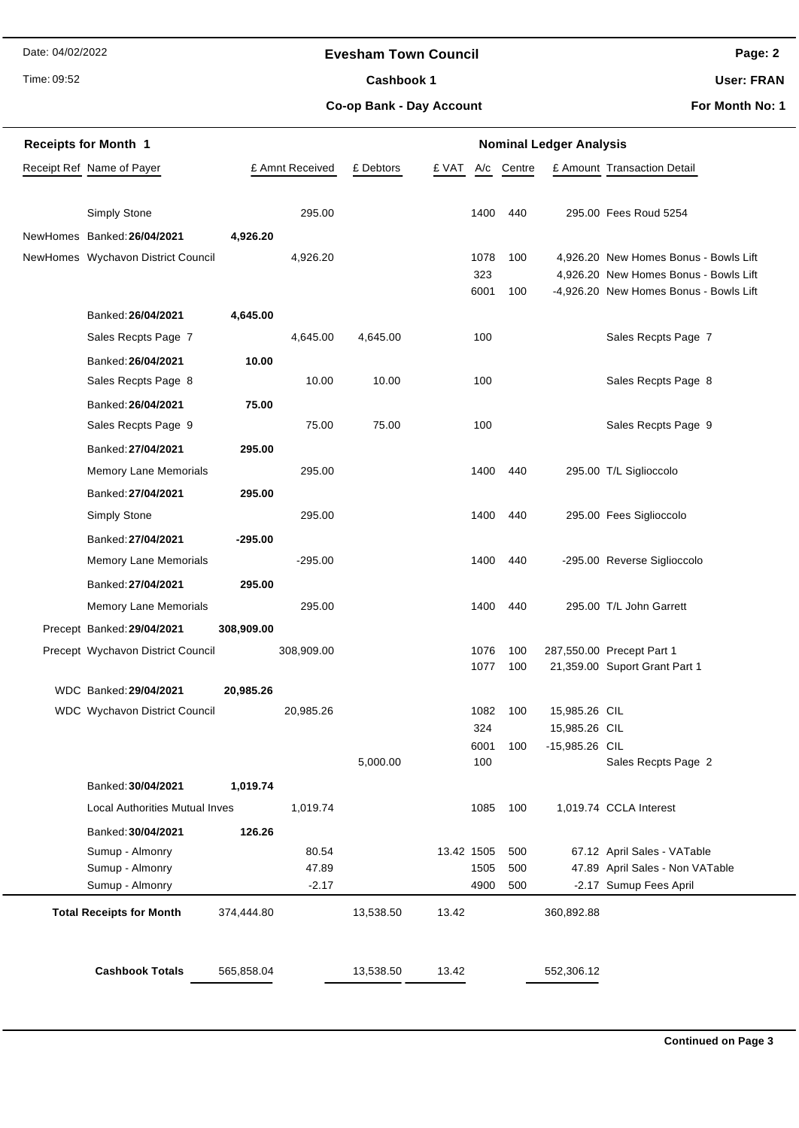Date: 04/02/2022

Time: 09:52

## **Evesham Town Council**

Cashbook 1

**Page: 2**

**User: FRAN**

**Co-op Bank - Day Account**

**For Month No: 1**

| <b>Receipts for Month 1</b> |                                       |            |                 | <b>Nominal Ledger Analysis</b> |            |             |        |                |                                                                                 |  |  |
|-----------------------------|---------------------------------------|------------|-----------------|--------------------------------|------------|-------------|--------|----------------|---------------------------------------------------------------------------------|--|--|
|                             | Receipt Ref Name of Payer             |            | £ Amnt Received | £ Debtors                      | £ VAT      | A/c         | Centre |                | £ Amount Transaction Detail                                                     |  |  |
|                             |                                       |            |                 |                                |            |             |        |                |                                                                                 |  |  |
|                             | Simply Stone                          |            | 295.00          |                                |            | 1400        | 440    |                | 295.00 Fees Roud 5254                                                           |  |  |
|                             | NewHomes Banked: 26/04/2021           | 4,926.20   |                 |                                |            |             |        |                |                                                                                 |  |  |
|                             | NewHomes Wychavon District Council    |            | 4,926.20        |                                |            | 1078        | 100    |                | 4,926.20 New Homes Bonus - Bowls Lift                                           |  |  |
|                             |                                       |            |                 |                                |            | 323<br>6001 | 100    |                | 4,926.20 New Homes Bonus - Bowls Lift<br>-4,926.20 New Homes Bonus - Bowls Lift |  |  |
|                             | Banked: 26/04/2021                    | 4,645.00   |                 |                                |            |             |        |                |                                                                                 |  |  |
|                             | Sales Recpts Page 7                   |            | 4,645.00        | 4,645.00                       |            | 100         |        |                | Sales Recpts Page 7                                                             |  |  |
|                             | Banked: 26/04/2021                    | 10.00      |                 |                                |            |             |        |                |                                                                                 |  |  |
|                             | Sales Recpts Page 8                   |            | 10.00           | 10.00                          |            | 100         |        |                | Sales Recpts Page 8                                                             |  |  |
|                             | Banked: 26/04/2021                    | 75.00      |                 |                                |            |             |        |                |                                                                                 |  |  |
|                             | Sales Recpts Page 9                   |            | 75.00           | 75.00                          |            | 100         |        |                | Sales Recpts Page 9                                                             |  |  |
|                             | Banked: 27/04/2021                    | 295.00     |                 |                                |            |             |        |                |                                                                                 |  |  |
|                             | Memory Lane Memorials                 |            | 295.00          |                                |            | 1400        | 440    |                | 295.00 T/L Siglioccolo                                                          |  |  |
|                             | Banked: 27/04/2021                    | 295.00     |                 |                                |            |             |        |                |                                                                                 |  |  |
|                             | <b>Simply Stone</b>                   |            | 295.00          |                                |            | 1400        | 440    |                | 295.00 Fees Siglioccolo                                                         |  |  |
|                             | Banked: 27/04/2021                    | $-295.00$  |                 |                                |            |             |        |                |                                                                                 |  |  |
|                             | <b>Memory Lane Memorials</b>          |            | $-295.00$       |                                |            | 1400        | 440    |                | -295.00 Reverse Siglioccolo                                                     |  |  |
|                             | Banked: 27/04/2021                    | 295.00     |                 |                                |            |             |        |                |                                                                                 |  |  |
|                             | Memory Lane Memorials                 |            | 295.00          |                                |            | 1400        | 440    |                | 295.00 T/L John Garrett                                                         |  |  |
|                             | Precept Banked: 29/04/2021            | 308,909.00 |                 |                                |            |             |        |                |                                                                                 |  |  |
|                             | Precept Wychavon District Council     |            | 308,909.00      |                                |            | 1076        | 100    |                | 287,550.00 Precept Part 1                                                       |  |  |
|                             |                                       |            |                 |                                |            | 1077        | 100    |                | 21,359.00 Suport Grant Part 1                                                   |  |  |
|                             | WDC Banked: 29/04/2021                | 20,985.26  |                 |                                |            |             |        |                |                                                                                 |  |  |
|                             | WDC Wychavon District Council         |            | 20,985.26       |                                |            | 1082        | 100    | 15,985.26 CIL  |                                                                                 |  |  |
|                             |                                       |            |                 |                                |            | 324         |        | 15,985.26 CIL  |                                                                                 |  |  |
|                             |                                       |            |                 | 5,000.00                       |            | 6001<br>100 | 100    | -15,985.26 CIL | Sales Recpts Page 2                                                             |  |  |
|                             | Banked: 30/04/2021                    | 1,019.74   |                 |                                |            |             |        |                |                                                                                 |  |  |
|                             | <b>Local Authorities Mutual Inves</b> |            | 1,019.74        |                                |            | 1085        | 100    |                | 1,019.74 CCLA Interest                                                          |  |  |
|                             | Banked: 30/04/2021                    | 126.26     |                 |                                |            |             |        |                |                                                                                 |  |  |
|                             | Sumup - Almonry                       |            | 80.54           |                                | 13.42 1505 |             | 500    |                | 67.12 April Sales - VATable                                                     |  |  |
|                             | Sumup - Almonry                       |            | 47.89           |                                |            | 1505        | 500    |                | 47.89 April Sales - Non VATable                                                 |  |  |
|                             | Sumup - Almonry                       |            | $-2.17$         |                                |            | 4900        | 500    |                | -2.17 Sumup Fees April                                                          |  |  |
|                             | <b>Total Receipts for Month</b>       | 374,444.80 |                 | 13,538.50                      | 13.42      |             |        | 360,892.88     |                                                                                 |  |  |
|                             |                                       |            |                 |                                |            |             |        |                |                                                                                 |  |  |
|                             |                                       |            |                 |                                |            |             |        |                |                                                                                 |  |  |
|                             | <b>Cashbook Totals</b>                | 565,858.04 |                 | 13,538.50                      | 13.42      |             |        | 552,306.12     |                                                                                 |  |  |